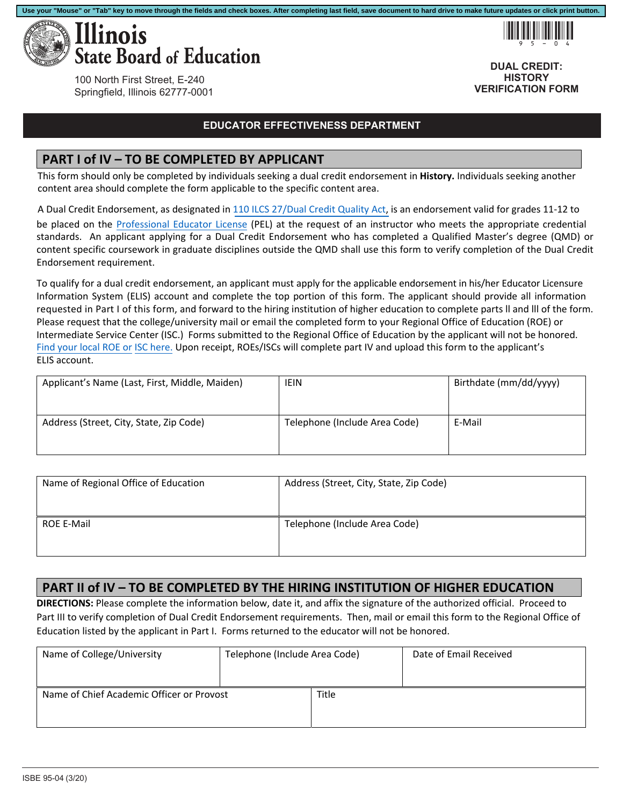



**DUAL CREDIT: HISTORY VERIFICATION FORM**

100 North First Street, E-240 Springfield, Illinois 62777-0001

#### **EDUCATOR EFFECTIVENESS DEPARTMENT**

### **PART I of IV – TO BE COMPLETED BY APPLICANT**

This form should only be completed by individuals seeking a dual credit endorsement in **History.** Individuals seeking another content area should complete the form applicable to the specific content area.

A Dual Credit Endorsement, as designated in [110 ILCS 27/Dual Credit Quality Act,](http://www.ilga.gov/legislation/ilcs/ilcs3.asp?ActID=3117&ChapterID=18) is an endorsement valid for grades 11‐12 to

be placed on the Professional Educator License (PEL) at the request of an instructor who meets the appropriate credential standards. An applicant applying for a Dual Credit Endorsement who has completed a Qualified Master's degree (QMD) or content specific coursework in graduate disciplines outside the QMD shall use this form to verify completion of the Dual Credit Endorsement requirement.

To qualify for a dual credit endorsement, an applicant must apply for the applicable endorsement in his/her Educator Licensure Information System (ELIS) account and complete the top portion of this form. The applicant should provide all information requested in Part I of this form, and forward to the hiring institution of higher education to complete parts ll and lll of the form. Please request that the college/university mail or email the completed form to your Regional Office of Education (ROE) or Intermediate Service Center (ISC.) Forms submitted to the Regional Office of Education by the applicant will not be honored. Find your local ROE or ISC here. Upon receipt, ROEs/ISCs will complete part IV and upload this form to the applicant's ELIS account.

| Applicant's Name (Last, First, Middle, Maiden) | <b>IEIN</b>                   | Birthdate (mm/dd/yyyy) |
|------------------------------------------------|-------------------------------|------------------------|
| Address (Street, City, State, Zip Code)        | Telephone (Include Area Code) | E-Mail                 |

| Name of Regional Office of Education | Address (Street, City, State, Zip Code) |
|--------------------------------------|-----------------------------------------|
| <b>ROE E-Mail</b>                    | Telephone (Include Area Code)           |

# **PART II of IV – TO BE COMPLETED BY THE HIRING INSTITUTION OF HIGHER EDUCATION**

**DIRECTIONS:** Please complete the information below, date it, and affix the signature of the authorized official. Proceed to Part III to verify completion of Dual Credit Endorsement requirements. Then, mail or email this form to the Regional Office of Education listed by the applicant in Part I. Forms returned to the educator will not be honored.

| Name of College/University                | Telephone (Include Area Code) |       | Date of Email Received |
|-------------------------------------------|-------------------------------|-------|------------------------|
|                                           |                               |       |                        |
| Name of Chief Academic Officer or Provost |                               | Title |                        |
|                                           |                               |       |                        |
|                                           |                               |       |                        |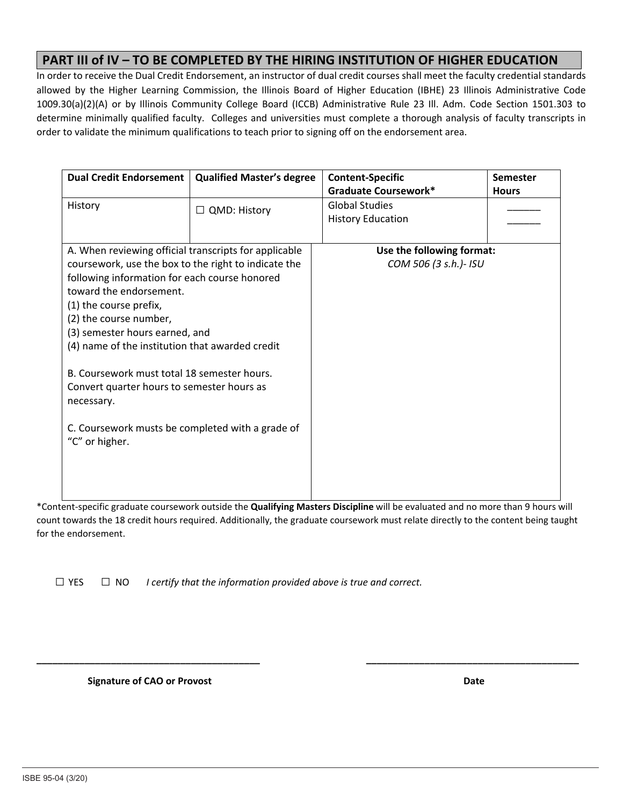## **PART III of IV – TO BE COMPLETED BY THE HIRING INSTITUTION OF HIGHER EDUCATION**

In order to receive the Dual Credit Endorsement, an instructor of dual credit courses shall meet the faculty credential standards allowed by the Higher Learning Commission, the Illinois Board of Higher Education (IBHE) 23 Illinois Administrative Code 1009.30(a)(2)(A) or by Illinois Community College Board (ICCB) Administrative Rule 23 Ill. Adm. Code Section 1501.303 to determine minimally qualified faculty. Colleges and universities must complete a thorough analysis of faculty transcripts in order to validate the minimum qualifications to teach prior to signing off on the endorsement area.

| <b>Dual Credit Endorsement</b>                        | <b>Qualified Master's degree</b> | <b>Content-Specific</b>     | <b>Semester</b> |
|-------------------------------------------------------|----------------------------------|-----------------------------|-----------------|
|                                                       |                                  | <b>Graduate Coursework*</b> | <b>Hours</b>    |
| History<br>$\Box$ QMD: History                        |                                  | <b>Global Studies</b>       |                 |
|                                                       |                                  | <b>History Education</b>    |                 |
|                                                       |                                  |                             |                 |
|                                                       |                                  |                             |                 |
| A. When reviewing official transcripts for applicable |                                  | Use the following format:   |                 |
| coursework, use the box to the right to indicate the  |                                  | COM 506 (3 s.h.)- ISU       |                 |
| following information for each course honored         |                                  |                             |                 |
| toward the endorsement.                               |                                  |                             |                 |
| (1) the course prefix,                                |                                  |                             |                 |
| (2) the course number,                                |                                  |                             |                 |
|                                                       |                                  |                             |                 |
| (3) semester hours earned, and                        |                                  |                             |                 |
| (4) name of the institution that awarded credit       |                                  |                             |                 |
|                                                       |                                  |                             |                 |
| B. Coursework must total 18 semester hours.           |                                  |                             |                 |
| Convert quarter hours to semester hours as            |                                  |                             |                 |
| necessary.                                            |                                  |                             |                 |
|                                                       |                                  |                             |                 |
| C. Coursework musts be completed with a grade of      |                                  |                             |                 |
|                                                       |                                  |                             |                 |
| "C" or higher.                                        |                                  |                             |                 |
|                                                       |                                  |                             |                 |
|                                                       |                                  |                             |                 |
|                                                       |                                  |                             |                 |
|                                                       |                                  |                             |                 |

\*Content‐specific graduate coursework outside the **Qualifying Masters Discipline** will be evaluated and no more than 9 hours will count towards the 18 credit hours required. Additionally, the graduate coursework must relate directly to the content being taught for the endorsement.

**\_\_\_\_\_\_\_\_\_\_\_\_\_\_\_\_\_\_\_\_\_\_\_\_\_\_\_\_\_\_\_\_\_\_\_\_\_\_\_\_\_\_ \_\_\_\_\_\_\_\_\_\_\_\_\_\_\_\_\_\_\_\_\_\_\_\_\_\_\_\_\_\_\_\_\_\_\_\_\_\_\_\_** 

 $\Box$  YES  $\Box$  NO *I certify that the information provided above is true and correct.* 

 **Signature of CAO or Provost Date**